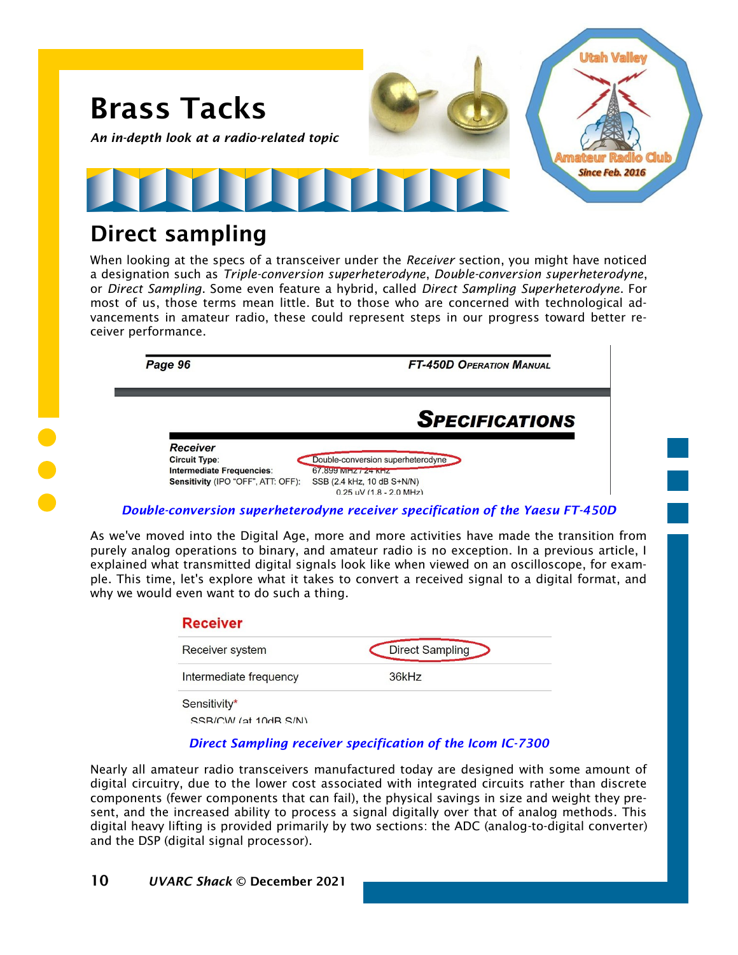

## Direct sampling

When looking at the specs of a transceiver under the *Receiver* section, you might have noticed a designation such as *Triple-conversion superheterodyne*, *Double-conversion superheterodyne*, or *Direct Sampling*. Some even feature a hybrid, called *Direct Sampling Superheterodyne*. For most of us, those terms mean little. But to those who are concerned with technological advancements in amateur radio, these could represent steps in our progress toward better receiver performance.

Page 96

**FT-450D OPERATION MANUAL** 

**SPECIFICATIONS** 

**Receiver Circuit Type: Intermediate Frequencies:** Sensitivity (IPO "OFF", ATT: OFF):

## *Double-conversion superheterodyne receiver specification of the Yaesu FT-450D*

SSB (2.4 kHz, 10 dB S+N/N)  $0.25$  uV (1.8 - 2.0 MHz)

67.899 MHZ / 24 KHZ

Double-conversion superheterodyne

As we've moved into the Digital Age, more and more activities have made the transition from purely analog operations to binary, and amateur radio is no exception. In a previous article, I explained what transmitted digital signals look like when viewed on an oscilloscope, for example. This time, let's explore what it takes to convert a received signal to a digital format, and why we would even want to do such a thing.

| <b>Receiver</b>          |                        |
|--------------------------|------------------------|
| Receiver system          | <b>Direct Sampling</b> |
| Intermediate frequency   | 36kHz                  |
| Sensitivity*             |                        |
| $CCDICIIIAI I0+10ADCIRI$ |                        |

SSB/CW (at 10dB S/N)

## *Direct Sampling receiver specification of the Icom IC-7300*

Nearly all amateur radio transceivers manufactured today are designed with some amount of digital circuitry, due to the lower cost associated with integrated circuits rather than discrete components (fewer components that can fail), the physical savings in size and weight they present, and the increased ability to process a signal digitally over that of analog methods. This digital heavy lifting is provided primarily by two sections: the ADC (analog-to-digital converter) and the DSP (digital signal processor).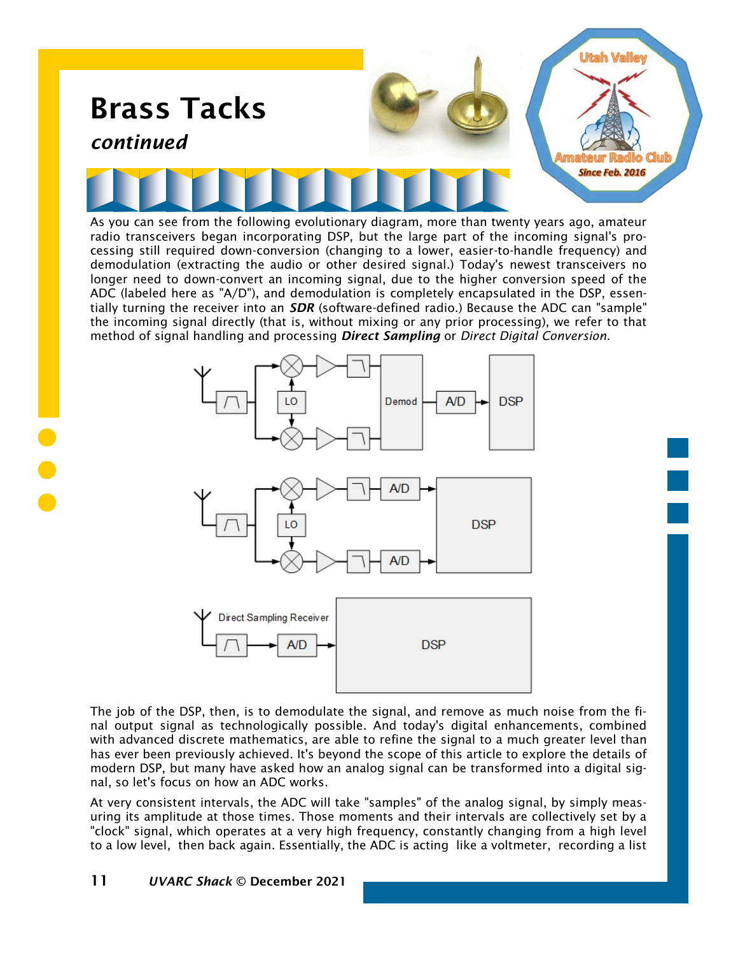

As you can see from the following evolutionary diagram, more than twenty years ago, amateur radio transceivers began incorporating DSP, but the large part of the incoming signal's processing still required down-conversion (changing to a lower, easier-to-handle frequency) and demodulation (extracting the audio or other desired signal.) Today's newest transceivers no longer need to down-convert an incoming signal, due to the higher conversion speed of the ADC (labeled here as "A/D"), and demodulation is completely encapsulated in the DSP, essentially turning the receiver into an *SDR* (software-defined radio.) Because the ADC can "sample" the incoming signal directly (that is, without mixing or any prior processing), we refer to that method of signal handling and processing *Direct Sampling* or *Direct Digital Conversion*.







The job of the DSP, then, is to demodulate the signal, and remove as much noise from the final output signal as technologically possible. And today's digital enhancements, combined with advanced discrete mathematics, are able to refine the signal to a much greater level than has ever been previously achieved. It's beyond the scope of this article to explore the details of modern DSP, but many have asked how an analog signal can be transformed into a digital signal, so let's focus on how an ADC works.

At very consistent intervals, the ADC will take "samples" of the analog signal, by simply measuring its amplitude at those times. Those moments and their intervals are collectively set by a "clock" signal, which operates at a very high frequency, constantly changing from a high level to a low level, then back again. Essentially, the ADC is acting like a voltmeter, recording a list